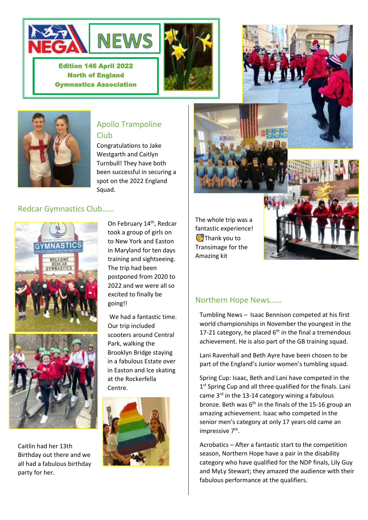



Edition 146 April 2022 North of England Gymnastics Association

İ







#### Apollo Trampoline Club

Congratulations to Jake Westgarth and Caitlyn Turnbull! They have both been successful in securing a spot on the 2022 England Squad.

#### Redcar Gymnastics Club……



Caitlin had her 13th Birthday out there and we all had a fabulous birthday party for her.

On February 14<sup>th</sup>, Redcar took a group of girls on to New York and Easton in Maryland for ten days training and sightseeing. The trip had been postponed from 2020 to 2022 and we were all so excited to finally be going!!

We had a fantastic time. Our trip included scooters around Central Park, walking the Brooklyn Bridge staying in a fabulous Estate over in Easton and Ice skating at the Rockerfella Centre.



The whole trip was a fantastic experience! **Thank you to** Transimage for the Amazing kit

#### Northern Hope News……

Tumbling News – Isaac Bennison competed at his first world championships in November the youngest in the 17-21 category, he placed  $6<sup>th</sup>$  in the final a tremendous achievement. He is also part of the GB training squad.

Lani Ravenhall and Beth Ayre have been chosen to be part of the England's Junior women's tumbling squad.

Spring Cup: Isaac, Beth and Lani have competed in the 1<sup>st</sup> Spring Cup and all three qualified for the finals. Lani came  $3^{rd}$  in the 13-14 category wining a fabulous bronze. Beth was  $6<sup>th</sup>$  in the finals of the 15-16 group an amazing achievement. Isaac who competed in the senior men's category at only 17 years old came an impressive 7<sup>th</sup>.

Acrobatics – After a fantastic start to the competition season, Northern Hope have a pair in the disability category who have qualified for the NDP finals, Lily Guy and MyLy Stewart; they amazed the audience with their fabulous performance at the qualifiers.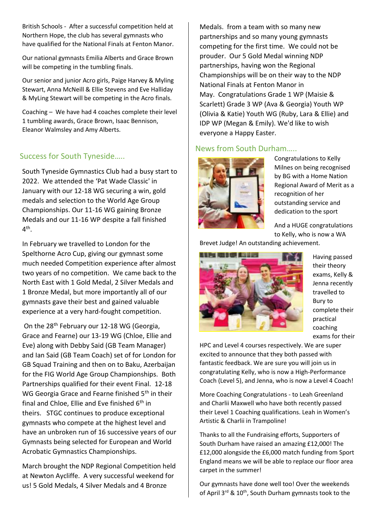British Schools - After a successful competition held at Northern Hope, the club has several gymnasts who have qualified for the National Finals at Fenton Manor.

Our national gymnasts Emilia Alberts and Grace Brown will be competing in the tumbling finals.

Our senior and junior Acro girls, Paige Harvey & Myling Stewart, Anna McNeill & Ellie Stevens and Eve Halliday & MyLing Stewart will be competing in the Acro finals.

Coaching – We have had 4 coaches complete their level 1 tumbling awards, Grace Brown, Isaac Bennison, Eleanor Walmsley and Amy Alberts.

#### Success for South Tyneside…..

South Tyneside Gymnastics Club had a busy start to 2022. We attended the 'Pat Wade Classic' in January with our 12-18 WG securing a win, gold medals and selection to the World Age Group Championships. Our 11-16 WG gaining Bronze Medals and our 11-16 WP despite a fall finished  $4^{\text{th}}$ .

In February we travelled to London for the Spelthorne Acro Cup, giving our gymnast some much needed Competition experience after almost two years of no competition. We came back to the North East with 1 Gold Medal, 2 Silver Medals and 1 Bronze Medal, but more importantly all of our gymnasts gave their best and gained valuable experience at a very hard-fought competition.

On the 28<sup>th</sup> February our 12-18 WG (Georgia, Grace and Fearne) our 13-19 WG (Chloe, Ellie and Eve) along with Debby Said (GB Team Manager) and Ian Said (GB Team Coach) set of for London for GB Squad Training and then on to Baku, Azerbaijan for the FIG World Age Group Championships. Both Partnerships qualified for their event Final. 12-18 WG Georgia Grace and Fearne finished 5<sup>th</sup> in their final and Chloe, Ellie and Eve finished  $6<sup>th</sup>$  in theirs. STGC continues to produce exceptional gymnasts who compete at the highest level and have an unbroken run of 16 successive years of our Gymnasts being selected for European and World Acrobatic Gymnastics Championships.

March brought the NDP Regional Competition held at Newton Aycliffe. A very successful weekend for us! 5 Gold Medals, 4 Silver Medals and 4 Bronze

Medals. from a team with so many new partnerships and so many young gymnasts competing for the first time. We could not be prouder. Our 5 Gold Medal winning NDP partnerships, having won the Regional Championships will be on their way to the NDP National Finals at Fenton Manor in May. Congratulations Grade 1 WP (Maisie & Scarlett) Grade 3 WP (Ava & Georgia) Youth WP (Olivia & Katie) Youth WG (Ruby, Lara & Ellie) and IDP WP (Megan & Emily). We'd like to wish everyone a Happy Easter.

#### News from South Durham…..



Congratulations to Kelly Milnes on being recognised by BG with a Home Nation Regional Award of Merit as a recognition of her outstanding service and dedication to the sport

And a HUGE congratulations to Kelly, who is now a WA

Brevet Judge! An outstanding achievement.



Having passed their theory exams, Kelly & Jenna recently travelled to Bury to complete their practical coaching exams for their

HPC and Level 4 courses respectively. We are super excited to announce that they both passed with fantastic feedback. We are sure you will join us in congratulating Kelly, who is now a High-Performance Coach (Level 5), and Jenna, who is now a Level 4 Coach!

More Coaching Congratulations - to Leah Greenland and Charlii Maxwell who have both recently passed their Level 1 Coaching qualifications. Leah in Women's Artistic & Charlii in Trampoline!

Thanks to all the Fundraising efforts, Supporters of South Durham have raised an amazing £12,000! The £12,000 alongside the £6,000 match funding from Sport England means we will be able to replace our floor area carpet in the summer!

Our gymnasts have done well too! Over the weekends of April 3<sup>rd</sup> & 10<sup>th</sup>, South Durham gymnasts took to the